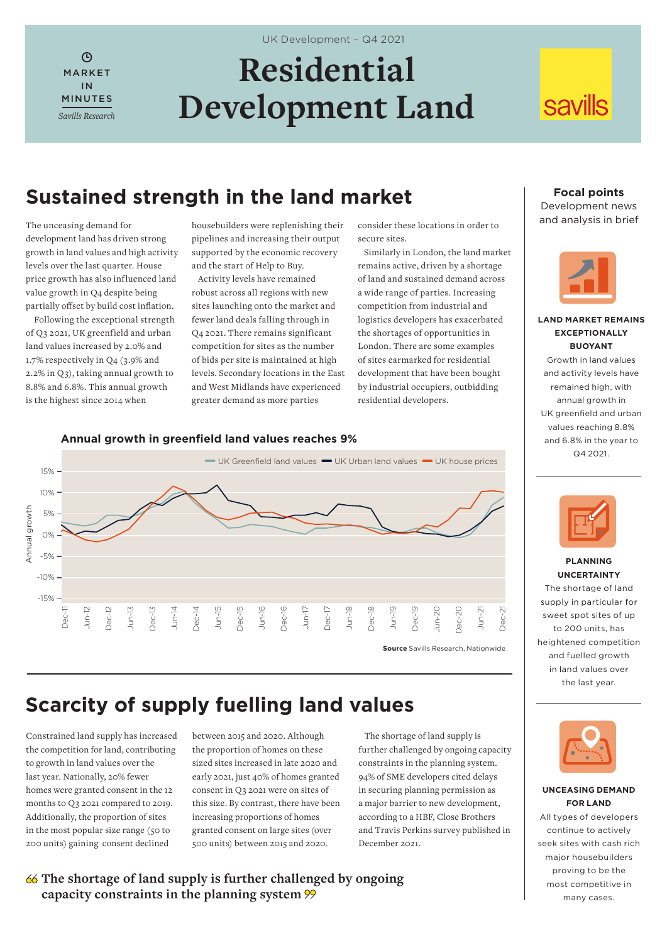$\odot$ MARKET IN MINUTES *Savills Research*

# **Residential Development Land**

UK Development – Q4 2021

# **savills**

## **Sustained strength in the land market** Focal points

The unceasing demand for development land has driven strong growth in land values and high activity levels over the last quarter. House price growth has also influenced land value growth in Q4 despite being partially offset by build cost inflation.

 Following the exceptional strength of Q3 2021, UK greenfield and urban land values increased by 2.0% and 1.7% respectively in Q4 (3.9% and 2.2% in Q3), taking annual growth to 8.8% and 6.8%. This annual growth is the highest since 2014 when

housebuilders were replenishing their pipelines and increasing their output supported by the economic recovery and the start of Help to Buy.

 Activity levels have remained robust across all regions with new sites launching onto the market and fewer land deals falling through in Q4 2021. There remains significant competition for sites as the number of bids per site is maintained at high levels. Secondary locations in the East and West Midlands have experienced greater demand as more parties

consider these locations in order to secure sites.

 Similarly in London, the land market remains active, driven by a shortage of land and sustained demand across a wide range of parties. Increasing competition from industrial and logistics developers has exacerbated the shortages of opportunities in London. There are some examples of sites earmarked for residential development that have been bought by industrial occupiers, outbidding residential developers.

# Development news

and analysis in brief



### **LAND MARKET REMAINS EXCEPTIONALLY BUOYANT**

Growth in land values and activity levels have remained high, with annual growth in UK greenfield and urban values reaching 8.8% and 6.8% in the year to Q4 2021.



## **PLANNING UNCERTAINTY**

The shortage of land supply in particular for sweet spot sites of up to 200 units, has heightened competition and fuelled growth in land values over the last year.



#### **UNCEASING DEMAND FOR LAND**

All types of developers continue to actively seek sites with cash rich major housebuilders proving to be the most competitive in many cases.

## **Annual growth in greenfield land values reaches 9%**



# **Scarcity of supply fuelling land values**

Constrained land supply has increased the competition for land, contributing to growth in land values over the last year. Nationally, 20% fewer homes were granted consent in the 12 months to Q3 2021 compared to 2019. Additionally, the proportion of sites in the most popular size range (50 to 200 units) gaining consent declined

between 2015 and 2020. Although the proportion of homes on these sized sites increased in late 2020 and early 2021, just 40% of homes granted consent in Q3 2021 were on sites of this size. By contrast, there have been increasing proportions of homes granted consent on large sites (over 500 units) between 2015 and 2020.

 The shortage of land supply is further challenged by ongoing capacity constraints in the planning system. 94% of SME developers cited delays in securing planning permission as a major barrier to new development, according to a HBF, Close Brothers and Travis Perkins survey published in December 2021.

## **The shortage of land supply is further challenged by ongoing capacity constraints in the planning system**